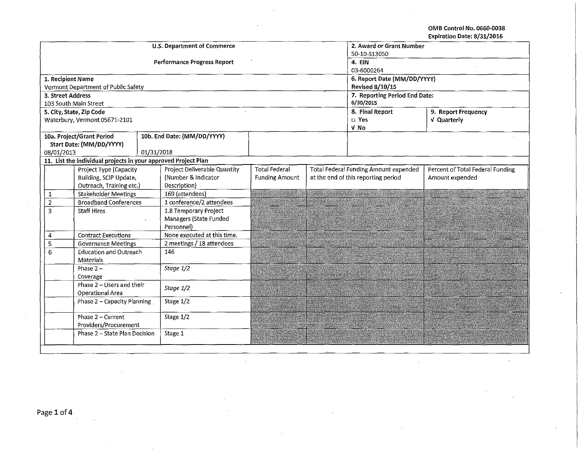OMB Control No. 0660-0038 Expiration Date: 8/31/2016

| <b>U.S. Department of Commerce</b><br>2. Award or Grant Number<br>50-10-S13050<br><b>Performance Progress Report</b><br>4. EIN<br>03-6000264<br>6. Report Date (MM/DD/YYYY)<br><b>Revised 8/10/15</b><br>Vermont Department of Public Safety<br>7. Reporting Period End Date:<br>3. Street Address<br>6/30/2015<br>103 South Main Street<br>8. Final Report<br>5. City, State, Zip Code<br>9. Report Frequency<br>Waterbury, Vermont 05671-2101<br>$\square$ Yes<br>V Quarterly<br>V No<br>10a. Project/Grant Period<br>10b. End Date: (MM/DD/YYYY)<br>Start Date: (MM/DD/YYYY)<br>08/01/2013<br>01/31/2018<br>11. List the individual projects in your approved Project Plan<br><b>Project Deliverable Quantity</b><br>Project Type (Capacity<br><b>Total Federal</b><br><b>Total Federal Funding Amount expended</b><br>Percent of Total Federal Funding<br>at the end of this reporting period<br>Building, SCIP Update,<br>(Number & Indicator<br><b>Funding Amount</b><br>Amount expended<br>Outreach, Training etc.)<br>Description)<br><b>Stakeholder Meetings</b><br>169 (attendees)<br>1<br>1 conference/2 attendees<br>$\mathbf 2$<br><b>Broadband Conferences</b><br>1.8 Temporary Project<br>3<br><b>Staff Hires</b><br>Managers (State Funded<br>Personnel)<br>None executed at this time.<br><b>Contract Executions</b><br>4<br>2 meetings / 18 attendees<br><b>Governance Meetings</b><br>5<br><b>Education and Outreach</b><br>146<br>6<br><b>Materials</b><br>Stage 1/2<br>Phase $2-$<br>Coverage<br>Phase $2 -$ Users and their<br>Stage 1/2<br>Operational Area<br>Stage 1/2<br>Phase 2 - Capacity Planning<br>Phase 2 - Current<br>Stage 1/2<br>Providers/Procurement<br>Phase 2 - State Plan Decision<br>Stage 1 |  |                   |  |  |  |  |  |  |  |  |
|---------------------------------------------------------------------------------------------------------------------------------------------------------------------------------------------------------------------------------------------------------------------------------------------------------------------------------------------------------------------------------------------------------------------------------------------------------------------------------------------------------------------------------------------------------------------------------------------------------------------------------------------------------------------------------------------------------------------------------------------------------------------------------------------------------------------------------------------------------------------------------------------------------------------------------------------------------------------------------------------------------------------------------------------------------------------------------------------------------------------------------------------------------------------------------------------------------------------------------------------------------------------------------------------------------------------------------------------------------------------------------------------------------------------------------------------------------------------------------------------------------------------------------------------------------------------------------------------------------------------------------------------------------------------------------------------------------------------------------------|--|-------------------|--|--|--|--|--|--|--|--|
|                                                                                                                                                                                                                                                                                                                                                                                                                                                                                                                                                                                                                                                                                                                                                                                                                                                                                                                                                                                                                                                                                                                                                                                                                                                                                                                                                                                                                                                                                                                                                                                                                                                                                                                                       |  |                   |  |  |  |  |  |  |  |  |
|                                                                                                                                                                                                                                                                                                                                                                                                                                                                                                                                                                                                                                                                                                                                                                                                                                                                                                                                                                                                                                                                                                                                                                                                                                                                                                                                                                                                                                                                                                                                                                                                                                                                                                                                       |  |                   |  |  |  |  |  |  |  |  |
|                                                                                                                                                                                                                                                                                                                                                                                                                                                                                                                                                                                                                                                                                                                                                                                                                                                                                                                                                                                                                                                                                                                                                                                                                                                                                                                                                                                                                                                                                                                                                                                                                                                                                                                                       |  |                   |  |  |  |  |  |  |  |  |
|                                                                                                                                                                                                                                                                                                                                                                                                                                                                                                                                                                                                                                                                                                                                                                                                                                                                                                                                                                                                                                                                                                                                                                                                                                                                                                                                                                                                                                                                                                                                                                                                                                                                                                                                       |  |                   |  |  |  |  |  |  |  |  |
|                                                                                                                                                                                                                                                                                                                                                                                                                                                                                                                                                                                                                                                                                                                                                                                                                                                                                                                                                                                                                                                                                                                                                                                                                                                                                                                                                                                                                                                                                                                                                                                                                                                                                                                                       |  | 1. Recipient Name |  |  |  |  |  |  |  |  |
|                                                                                                                                                                                                                                                                                                                                                                                                                                                                                                                                                                                                                                                                                                                                                                                                                                                                                                                                                                                                                                                                                                                                                                                                                                                                                                                                                                                                                                                                                                                                                                                                                                                                                                                                       |  |                   |  |  |  |  |  |  |  |  |
|                                                                                                                                                                                                                                                                                                                                                                                                                                                                                                                                                                                                                                                                                                                                                                                                                                                                                                                                                                                                                                                                                                                                                                                                                                                                                                                                                                                                                                                                                                                                                                                                                                                                                                                                       |  |                   |  |  |  |  |  |  |  |  |
|                                                                                                                                                                                                                                                                                                                                                                                                                                                                                                                                                                                                                                                                                                                                                                                                                                                                                                                                                                                                                                                                                                                                                                                                                                                                                                                                                                                                                                                                                                                                                                                                                                                                                                                                       |  |                   |  |  |  |  |  |  |  |  |
|                                                                                                                                                                                                                                                                                                                                                                                                                                                                                                                                                                                                                                                                                                                                                                                                                                                                                                                                                                                                                                                                                                                                                                                                                                                                                                                                                                                                                                                                                                                                                                                                                                                                                                                                       |  |                   |  |  |  |  |  |  |  |  |
|                                                                                                                                                                                                                                                                                                                                                                                                                                                                                                                                                                                                                                                                                                                                                                                                                                                                                                                                                                                                                                                                                                                                                                                                                                                                                                                                                                                                                                                                                                                                                                                                                                                                                                                                       |  |                   |  |  |  |  |  |  |  |  |
|                                                                                                                                                                                                                                                                                                                                                                                                                                                                                                                                                                                                                                                                                                                                                                                                                                                                                                                                                                                                                                                                                                                                                                                                                                                                                                                                                                                                                                                                                                                                                                                                                                                                                                                                       |  |                   |  |  |  |  |  |  |  |  |
|                                                                                                                                                                                                                                                                                                                                                                                                                                                                                                                                                                                                                                                                                                                                                                                                                                                                                                                                                                                                                                                                                                                                                                                                                                                                                                                                                                                                                                                                                                                                                                                                                                                                                                                                       |  |                   |  |  |  |  |  |  |  |  |
|                                                                                                                                                                                                                                                                                                                                                                                                                                                                                                                                                                                                                                                                                                                                                                                                                                                                                                                                                                                                                                                                                                                                                                                                                                                                                                                                                                                                                                                                                                                                                                                                                                                                                                                                       |  |                   |  |  |  |  |  |  |  |  |
|                                                                                                                                                                                                                                                                                                                                                                                                                                                                                                                                                                                                                                                                                                                                                                                                                                                                                                                                                                                                                                                                                                                                                                                                                                                                                                                                                                                                                                                                                                                                                                                                                                                                                                                                       |  |                   |  |  |  |  |  |  |  |  |
|                                                                                                                                                                                                                                                                                                                                                                                                                                                                                                                                                                                                                                                                                                                                                                                                                                                                                                                                                                                                                                                                                                                                                                                                                                                                                                                                                                                                                                                                                                                                                                                                                                                                                                                                       |  |                   |  |  |  |  |  |  |  |  |
|                                                                                                                                                                                                                                                                                                                                                                                                                                                                                                                                                                                                                                                                                                                                                                                                                                                                                                                                                                                                                                                                                                                                                                                                                                                                                                                                                                                                                                                                                                                                                                                                                                                                                                                                       |  |                   |  |  |  |  |  |  |  |  |
|                                                                                                                                                                                                                                                                                                                                                                                                                                                                                                                                                                                                                                                                                                                                                                                                                                                                                                                                                                                                                                                                                                                                                                                                                                                                                                                                                                                                                                                                                                                                                                                                                                                                                                                                       |  |                   |  |  |  |  |  |  |  |  |
|                                                                                                                                                                                                                                                                                                                                                                                                                                                                                                                                                                                                                                                                                                                                                                                                                                                                                                                                                                                                                                                                                                                                                                                                                                                                                                                                                                                                                                                                                                                                                                                                                                                                                                                                       |  |                   |  |  |  |  |  |  |  |  |
|                                                                                                                                                                                                                                                                                                                                                                                                                                                                                                                                                                                                                                                                                                                                                                                                                                                                                                                                                                                                                                                                                                                                                                                                                                                                                                                                                                                                                                                                                                                                                                                                                                                                                                                                       |  |                   |  |  |  |  |  |  |  |  |
|                                                                                                                                                                                                                                                                                                                                                                                                                                                                                                                                                                                                                                                                                                                                                                                                                                                                                                                                                                                                                                                                                                                                                                                                                                                                                                                                                                                                                                                                                                                                                                                                                                                                                                                                       |  |                   |  |  |  |  |  |  |  |  |
|                                                                                                                                                                                                                                                                                                                                                                                                                                                                                                                                                                                                                                                                                                                                                                                                                                                                                                                                                                                                                                                                                                                                                                                                                                                                                                                                                                                                                                                                                                                                                                                                                                                                                                                                       |  |                   |  |  |  |  |  |  |  |  |
|                                                                                                                                                                                                                                                                                                                                                                                                                                                                                                                                                                                                                                                                                                                                                                                                                                                                                                                                                                                                                                                                                                                                                                                                                                                                                                                                                                                                                                                                                                                                                                                                                                                                                                                                       |  |                   |  |  |  |  |  |  |  |  |
|                                                                                                                                                                                                                                                                                                                                                                                                                                                                                                                                                                                                                                                                                                                                                                                                                                                                                                                                                                                                                                                                                                                                                                                                                                                                                                                                                                                                                                                                                                                                                                                                                                                                                                                                       |  |                   |  |  |  |  |  |  |  |  |
|                                                                                                                                                                                                                                                                                                                                                                                                                                                                                                                                                                                                                                                                                                                                                                                                                                                                                                                                                                                                                                                                                                                                                                                                                                                                                                                                                                                                                                                                                                                                                                                                                                                                                                                                       |  |                   |  |  |  |  |  |  |  |  |
|                                                                                                                                                                                                                                                                                                                                                                                                                                                                                                                                                                                                                                                                                                                                                                                                                                                                                                                                                                                                                                                                                                                                                                                                                                                                                                                                                                                                                                                                                                                                                                                                                                                                                                                                       |  |                   |  |  |  |  |  |  |  |  |
|                                                                                                                                                                                                                                                                                                                                                                                                                                                                                                                                                                                                                                                                                                                                                                                                                                                                                                                                                                                                                                                                                                                                                                                                                                                                                                                                                                                                                                                                                                                                                                                                                                                                                                                                       |  |                   |  |  |  |  |  |  |  |  |
|                                                                                                                                                                                                                                                                                                                                                                                                                                                                                                                                                                                                                                                                                                                                                                                                                                                                                                                                                                                                                                                                                                                                                                                                                                                                                                                                                                                                                                                                                                                                                                                                                                                                                                                                       |  |                   |  |  |  |  |  |  |  |  |
|                                                                                                                                                                                                                                                                                                                                                                                                                                                                                                                                                                                                                                                                                                                                                                                                                                                                                                                                                                                                                                                                                                                                                                                                                                                                                                                                                                                                                                                                                                                                                                                                                                                                                                                                       |  |                   |  |  |  |  |  |  |  |  |
|                                                                                                                                                                                                                                                                                                                                                                                                                                                                                                                                                                                                                                                                                                                                                                                                                                                                                                                                                                                                                                                                                                                                                                                                                                                                                                                                                                                                                                                                                                                                                                                                                                                                                                                                       |  |                   |  |  |  |  |  |  |  |  |
|                                                                                                                                                                                                                                                                                                                                                                                                                                                                                                                                                                                                                                                                                                                                                                                                                                                                                                                                                                                                                                                                                                                                                                                                                                                                                                                                                                                                                                                                                                                                                                                                                                                                                                                                       |  |                   |  |  |  |  |  |  |  |  |
|                                                                                                                                                                                                                                                                                                                                                                                                                                                                                                                                                                                                                                                                                                                                                                                                                                                                                                                                                                                                                                                                                                                                                                                                                                                                                                                                                                                                                                                                                                                                                                                                                                                                                                                                       |  |                   |  |  |  |  |  |  |  |  |
|                                                                                                                                                                                                                                                                                                                                                                                                                                                                                                                                                                                                                                                                                                                                                                                                                                                                                                                                                                                                                                                                                                                                                                                                                                                                                                                                                                                                                                                                                                                                                                                                                                                                                                                                       |  |                   |  |  |  |  |  |  |  |  |
|                                                                                                                                                                                                                                                                                                                                                                                                                                                                                                                                                                                                                                                                                                                                                                                                                                                                                                                                                                                                                                                                                                                                                                                                                                                                                                                                                                                                                                                                                                                                                                                                                                                                                                                                       |  |                   |  |  |  |  |  |  |  |  |
|                                                                                                                                                                                                                                                                                                                                                                                                                                                                                                                                                                                                                                                                                                                                                                                                                                                                                                                                                                                                                                                                                                                                                                                                                                                                                                                                                                                                                                                                                                                                                                                                                                                                                                                                       |  |                   |  |  |  |  |  |  |  |  |
|                                                                                                                                                                                                                                                                                                                                                                                                                                                                                                                                                                                                                                                                                                                                                                                                                                                                                                                                                                                                                                                                                                                                                                                                                                                                                                                                                                                                                                                                                                                                                                                                                                                                                                                                       |  |                   |  |  |  |  |  |  |  |  |
|                                                                                                                                                                                                                                                                                                                                                                                                                                                                                                                                                                                                                                                                                                                                                                                                                                                                                                                                                                                                                                                                                                                                                                                                                                                                                                                                                                                                                                                                                                                                                                                                                                                                                                                                       |  |                   |  |  |  |  |  |  |  |  |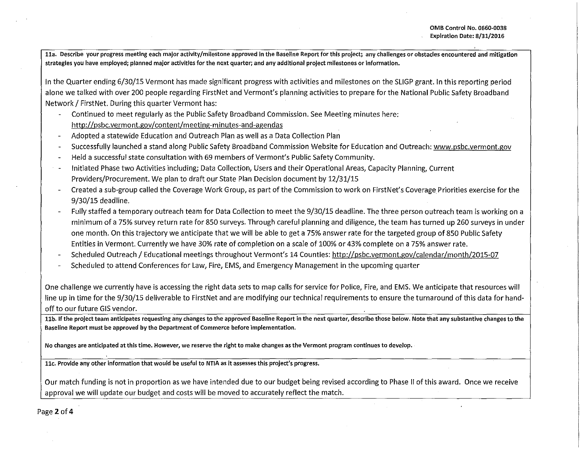**lla. Describe your progress meeting each major activity/milestone approved in the Baseline Report for this project; any challenges or obstacles encountered and mitigation strategies you have employed; planned major activities for the next quarter; and any additional project milestones or information.** 

In the Quarter ending 6/30/15 Vermont has made significant progress with activities and milestones on the SLIGP grant. In this reporting period alone we talked with over 200 people regarding FirstNet and Vermont's planning activities to prepare for the National Public Safety Broadband Network / First Net. During this quarter Vermont has:

- Continued to meet regularly as the Public Safety Broadband Commission. See Meeting minutes here: http://psbc.vermont.gov/content/meeting-minutes-and-agendas
- Adopted a statewide Education and Outreach Plan as well as a Data Collection Plan
- Successfully launched a stand along Public Safety Broadband Commission Website for Education and Outreach: www.psbc.vermont.gov
- Held a successful state consultation with 69 members of Vermont's Public Safety Community.
- Initiated Phase two Activities including; Data Collection, Users and their Operational Areas, Capacity Planning, Current Providers/Procurement. We plan to draft our State Plan Decision document by 12/31/15
- Created a sub-group called the Coverage Work Group, as part of the Commission to work on FirstNet's Coverage Priorities exercise for the 9/30/15 deadline.
- Fully staffed a temporary outreach team for Data Collection to meet the 9/30/15 deadline. The three person outreach team is working on a minimum of a 75% survey return rate for 850 surveys. Through careful planning and diligence, the team has turned up 260 surveys in under one month. On this trajectory we anticipate that we will be able to get a 75% answer rate for the targeted group of 850 Public Safety Entities in Vermont. Currently we have 30% rate of completion on a scale of 100% or 43% complete on a 75% answer rate.
- Scheduled Outreach / Educational meetings throughout Vermont's 14 Counties: http://psbc.vermont.gov/calendar/month/2015-07
- Scheduled to attend Conferences for Law, Fire, EMS, and Emergency Management in the upcoming quarter

One challenge we currently have is accessing the right data sets to map calls for service for Police, Fire, and EMS. We anticipate that resources will line up in time for the 9/30/15 deliverable to FirstNet and are modifying our technical requirements to ensure the turnaround of this data for handoff to our future GIS vendor.

11b. If the project team anticipates requesting any changes to the approved Baseline Report in the next quarter, describe those below. Note that any substantive changes to the **Baseline Report must be approved by the Department of Commerce before implementation.** 

**No changes are anticipated at this time. However, we reserve the right to make changes as the Vermont program continues to develop.** 

**llc. Provide any other information that would be useful to NTIA as it assesses this project's progress.** 

Our match funding is not in proportion as we have intended due to our budget being revised according to Phase II of this award. Once we receive approval we will update our budget and costs will be moved to accurately reflect the match.

Page 2 of 4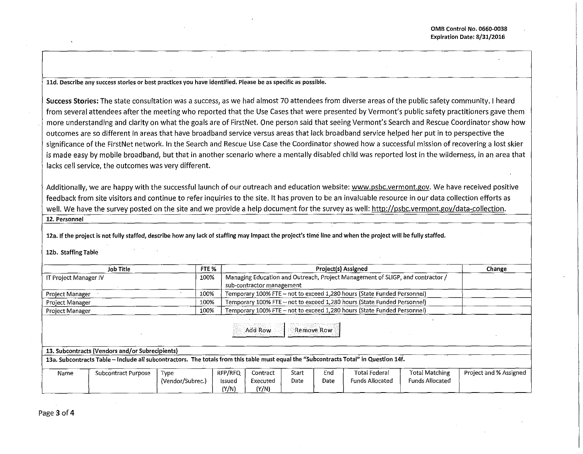**lld. Describe any success stories or best practices you have identified. Please be as specific as possible.** 

Success Stories: The state consultation was a success, as we had almost 70 attendees from diverse areas of the public safety community. I heard from several attendees after the meeting who reported that the Use Cases that were presented by Vermont's public safety practitioners gave them more understanding and clarity on what the goals are of FirstNet. One person said that seeing Vermont's Search and Rescue Coordinator show how outcomes are so different in areas that have broadband service versus areas that lack broadband service helped her put in to perspective the significance of the FirstNet network. In the Search and Rescue Use Case the Coordinator showed how a successful mission of recovering a lost skier is made easy by mobile broadband, but that in another scenario where a mentally disabled child was reported lost in the wilderness, in an area that lacks cell service, the outcomes was very different.

Additionally, we are happy with the successful launch of our outreach and education website: www.psbc.vermont.gov. We have received positive feedback from site visitors and continue to refer inquiries to the site. It has proven to be an invaluable resource in our data collection efforts as well. We have the survey posted on the site and we provide a help document for the survey as well: http://psbc.vermont.gov/data-collection. **12. Personnel** 

12a. If the project is not fully staffed, describe how any lack of staffing may impact the project's time line and when the project will be fully staffed.

12b. Staffing Table

|                                                                                                                                                                                                                           | <b>Job Title</b>    | FTE %            |                 |                                                                                |       |      | Project(s) Assigned    |                        | Change                 |
|---------------------------------------------------------------------------------------------------------------------------------------------------------------------------------------------------------------------------|---------------------|------------------|-----------------|--------------------------------------------------------------------------------|-------|------|------------------------|------------------------|------------------------|
| IT Project Manager IV                                                                                                                                                                                                     |                     |                  | 100%            | Managing Education and Outreach, Project Management of SLIGP, and contractor / |       |      |                        |                        |                        |
|                                                                                                                                                                                                                           |                     |                  |                 | sub-contractor management                                                      |       |      |                        |                        |                        |
| 100%<br><b>Project Manager</b>                                                                                                                                                                                            |                     |                  |                 | Temporary 100% FTE - not to exceed 1,280 hours (State Funded Personnel)        |       |      |                        |                        |                        |
| 100%<br>Project Manager                                                                                                                                                                                                   |                     |                  |                 | Temporary 100% FTE - not to exceed 1,280 hours (State Funded Personnel)        |       |      |                        |                        |                        |
| 100%<br><b>Project Manager</b>                                                                                                                                                                                            |                     |                  |                 | Temporary 100% FTE - not to exceed 1,280 hours (State Funded Personnel)        |       |      |                        |                        |                        |
| Add Row<br><b>Remove Row</b><br>13. Subcontracts (Vendors and/or Subrecipients)<br>13a. Subcontracts Table -- Include all subcontractors. The totals from this table must equal the "Subcontracts Total" in Question 14f. |                     |                  |                 |                                                                                |       |      |                        |                        |                        |
|                                                                                                                                                                                                                           |                     |                  |                 |                                                                                |       |      |                        |                        |                        |
| Name                                                                                                                                                                                                                      | Subcontract Purpose | Type             | RFP/RFQ         | Contract                                                                       | Start | End. | <b>Total Federal</b>   | Total Matching         | Project and % Assigned |
|                                                                                                                                                                                                                           |                     | (Vendor/Subrec.) | Issued<br>(Y/N) | Executed<br>(Y/N)                                                              | Date  | Date | <b>Funds Allocated</b> | <b>Funds Allocated</b> |                        |